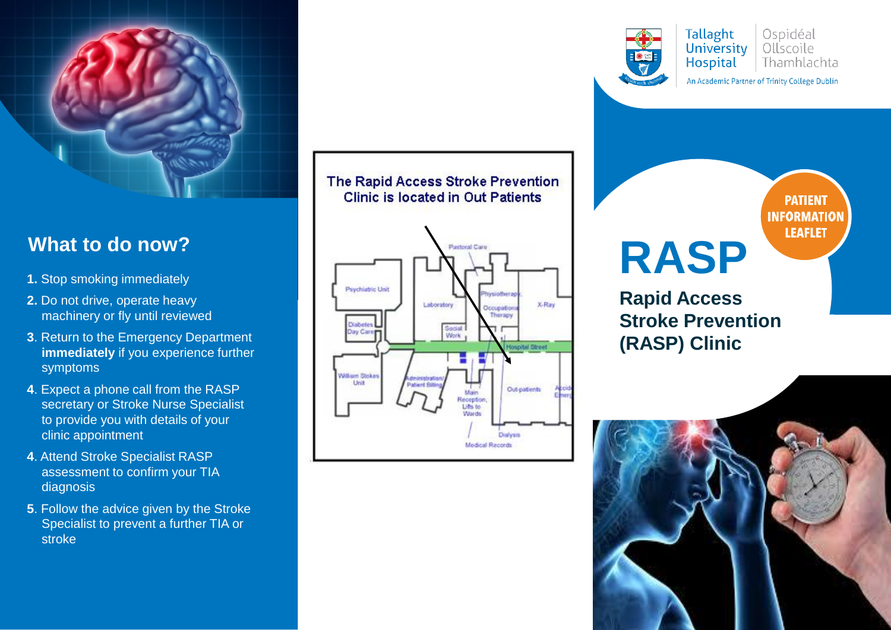

#### **What to do now?**

- **1.** Stop smoking immediately
- **2.** Do not drive, operate heavy machinery or fly until reviewed
- **3**. Return to the Emergency Department **immediately** if you experience further symptoms
- **4**. Expect a phone call from the RASP secretary or Stroke Nurse Specialist to provide you with details of your clinic appointment
- **4**. Attend Stroke Specialist RASP assessment to confirm your TIA diagnosis
- **5**. Follow the advice given by the Stroke Specialist to prevent a further TIA or stroke